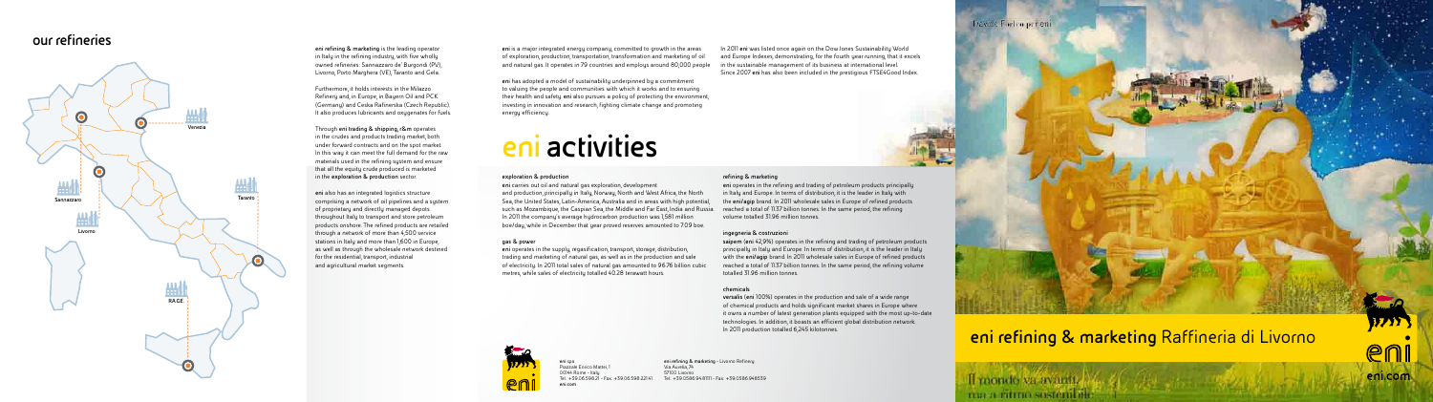**eni** spa Piazzale Enrico Mattei, 1 00144 Rome - Italy Tel.: +39.06.598.21 - Fax: +39.06.598.221.41 **eni.com**

**eni** carries out oil and natural gas exploration, development and production, principally in Italy, Norway, North and West Africa, the North Sea, the United States, Latin-America, Australia and in areas with high potential, such as Mozambique, the Caspian Sea, the Middle and Far East, India and Russia. In 2011 the company's average hydrocarbon production was 1,581 million boe/day, while in December that year proved reserves amounted to 7.09 boe.

> **eni refining & marketing** - Livorno Refinery Via Aurelia, 74 57100 Livorno Tel.: +39.0586.94.81111 - Fax: +39.0586.948539



# **eni activities**

#### **exploration & production**

#### **gas & power**

**eni** operates in the supply, regasification, transport, storage, distribution, trading and marketing of natural gas, as well as in the production and sale of electricity. In 2011 total sales of natural gas amounted to 96.76 billion cubic metres, while sales of electricity totalled 40.28 terawatt hours.



#### **refining & marketing**

**eni** operates in the refining and trading of petroleum products principally in Italy and Europe. In terms of distribution, it is the leader in Italy with the **eni/agip** brand. In 2011 wholesale sales in Europe of refined products reached a total of 11.37 billion tonnes. In the same period, the refining volume totalled 31.96 million tonnes.

#### **ingegneria & costruzioni**

**saipem** (**eni** 42,9%) operates in the refining and trading of petroleum products principally in Italy and Europe. In terms of distribution, it is the leader in Italy with the **eni/agip** brand. In 2011 wholesale sales in Europe of refined products reached a total of 11.37 billion tonnes. In the same period, the refining volume totalled 31.96 million tonnes.

#### **chemicals**

**versalis** (**eni** 100%) operates in the production and sale of a wide range of chemical products and holds significant market shares in Europe where it owns a number of latest generation plants equipped with the most up-to-date technologies. In addition, it boasts an efficient global distribution network. In 2011 production totalled 6,245 kilotonnes.

**eni** is a major integrated energy company, committed to growth in the areas of exploration, production, transportation, transformation and marketing of oil and natural gas. It operates in 79 countries and employs around 80,000 people

**eni** has adopted a model of sustainability underpinned by a commitment to valuing the people and communities with which it works and to ensuring their health and safety. **eni** also pursues a policy of protecting the environment, investing in innovation and research, fighting climate change and promoting energy efficiency.

In 2011 **eni** was listed once again on the Dow Jones Sustainability World and Europe Indexes, demonstrating, for the fourth year running, that it excels in the sustainable management of its business at international level. Since 2007 **eni** has also been included in the prestigious FTSE4Good Index.



**eni refining & marketing** is the leading operator in Italy in the refining industry, with five wholly owned refineries: Sannazzaro de' Burgondi (PV), Livorno, Porto Marghera (VE), Taranto and Gela.

Furthermore, it holds interests in the Milazzo Refinery and, in Europe, in Bayern Oil and PCK (Germany) and Ceska Rafinerska (Czech Republic). It also produces lubricants and oxygenates for fuels.

Through **eni trading & shipping, r&m** operates in the crudes and products trading market, both under forward contracts and on the spot market. In this way it can meet the full demand for the raw materials used in the refining system and ensure that all the equity crude produced is marketed in the **exploration & production** sector.

**eni** also has an integrated logistics structure comprising a network of oil pipelines and a system of proprietary and directly managed depots throughout Italy to transport and store petroleum products onshore. The refined products are retailed through a network of more than 4,500 service stations in Italy and more than 1,600 in Europe, as well as through the wholesale network destined for the residential, transport, industrial and agricultural market segments.

### **eni refining & marketing** Raffineria di Livorno

Il mondo va avanti. maar ritmo sostembre



### **our refineries**